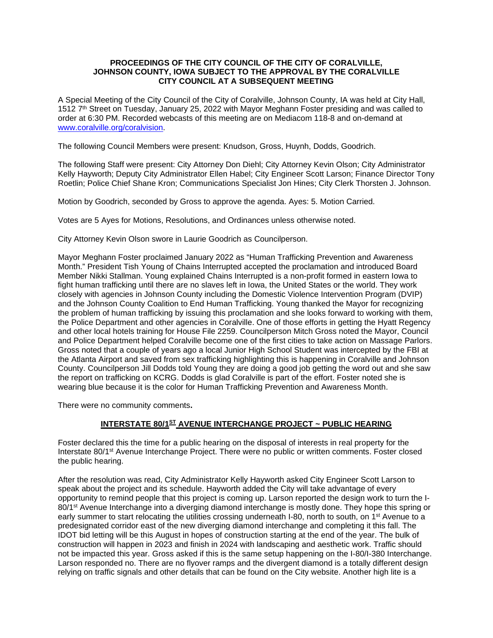#### **PROCEEDINGS OF THE CITY COUNCIL OF THE CITY OF CORALVILLE, JOHNSON COUNTY, IOWA SUBJECT TO THE APPROVAL BY THE CORALVILLE CITY COUNCIL AT A SUBSEQUENT MEETING**

A Special Meeting of the City Council of the City of Coralville, Johnson County, IA was held at City Hall, 1512 7th Street on Tuesday, January 25, 2022 with Mayor Meghann Foster presiding and was called to order at 6:30 PM. Recorded webcasts of this meeting are on Mediacom 118-8 and on-demand at [www.coralville.org/coralvision.](http://www.coralville.org/coralvision)

The following Council Members were present: Knudson, Gross, Huynh, Dodds, Goodrich.

The following Staff were present: City Attorney Don Diehl; City Attorney Kevin Olson; City Administrator Kelly Hayworth; Deputy City Administrator Ellen Habel; City Engineer Scott Larson; Finance Director Tony Roetlin; Police Chief Shane Kron; Communications Specialist Jon Hines; City Clerk Thorsten J. Johnson.

Motion by Goodrich, seconded by Gross to approve the agenda. Ayes: 5. Motion Carried.

Votes are 5 Ayes for Motions, Resolutions, and Ordinances unless otherwise noted.

City Attorney Kevin Olson swore in Laurie Goodrich as Councilperson.

Mayor Meghann Foster proclaimed January 2022 as "Human Trafficking Prevention and Awareness Month." President Tish Young of Chains Interrupted accepted the proclamation and introduced Board Member Nikki Stallman. Young explained Chains Interrupted is a non-profit formed in eastern Iowa to fight human trafficking until there are no slaves left in Iowa, the United States or the world. They work closely with agencies in Johnson County including the Domestic Violence Intervention Program (DVIP) and the Johnson County Coalition to End Human Trafficking. Young thanked the Mayor for recognizing the problem of human trafficking by issuing this proclamation and she looks forward to working with them, the Police Department and other agencies in Coralville. One of those efforts in getting the Hyatt Regency and other local hotels training for House File 2259. Councilperson Mitch Gross noted the Mayor, Council and Police Department helped Coralville become one of the first cities to take action on Massage Parlors. Gross noted that a couple of years ago a local Junior High School Student was intercepted by the FBI at the Atlanta Airport and saved from sex trafficking highlighting this is happening in Coralville and Johnson County. Councilperson Jill Dodds told Young they are doing a good job getting the word out and she saw the report on trafficking on KCRG. Dodds is glad Coralville is part of the effort. Foster noted she is wearing blue because it is the color for Human Trafficking Prevention and Awareness Month.

There were no community comments**.**

# **INTERSTATE 80/1ST AVENUE INTERCHANGE PROJECT ~ PUBLIC HEARING**

Foster declared this the time for a public hearing on the disposal of interests in real property for the Interstate 80/1st Avenue Interchange Project. There were no public or written comments. Foster closed the public hearing.

After the resolution was read, City Administrator Kelly Hayworth asked City Engineer Scott Larson to speak about the project and its schedule. Hayworth added the City will take advantage of every opportunity to remind people that this project is coming up. Larson reported the design work to turn the I-80/1<sup>st</sup> Avenue Interchange into a diverging diamond interchange is mostly done. They hope this spring or early summer to start relocating the utilities crossing underneath I-80, north to south, on 1<sup>st</sup> Avenue to a predesignated corridor east of the new diverging diamond interchange and completing it this fall. The IDOT bid letting will be this August in hopes of construction starting at the end of the year. The bulk of construction will happen in 2023 and finish in 2024 with landscaping and aesthetic work. Traffic should not be impacted this year. Gross asked if this is the same setup happening on the I-80/I-380 Interchange. Larson responded no. There are no flyover ramps and the divergent diamond is a totally different design relying on traffic signals and other details that can be found on the City website. Another high lite is a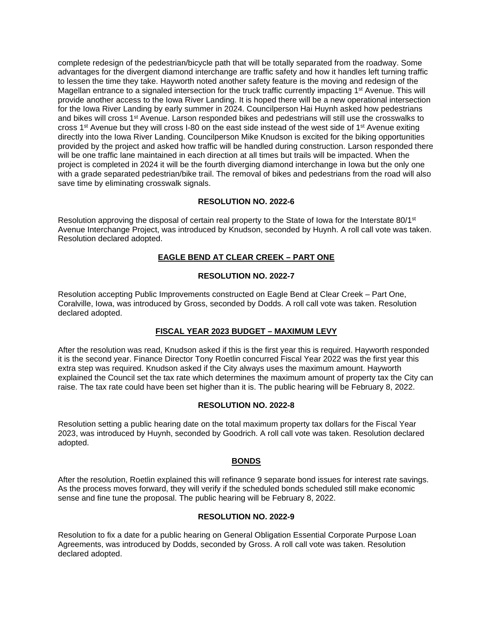complete redesign of the pedestrian/bicycle path that will be totally separated from the roadway. Some advantages for the divergent diamond interchange are traffic safety and how it handles left turning traffic to lessen the time they take. Hayworth noted another safety feature is the moving and redesign of the Magellan entrance to a signaled intersection for the truck traffic currently impacting 1st Avenue. This will provide another access to the Iowa River Landing. It is hoped there will be a new operational intersection for the Iowa River Landing by early summer in 2024. Councilperson Hai Huynh asked how pedestrians and bikes will cross 1<sup>st</sup> Avenue. Larson responded bikes and pedestrians will still use the crosswalks to cross 1st Avenue but they will cross I-80 on the east side instead of the west side of 1st Avenue exiting directly into the Iowa River Landing. Councilperson Mike Knudson is excited for the biking opportunities provided by the project and asked how traffic will be handled during construction. Larson responded there will be one traffic lane maintained in each direction at all times but trails will be impacted. When the project is completed in 2024 it will be the fourth diverging diamond interchange in Iowa but the only one with a grade separated pedestrian/bike trail. The removal of bikes and pedestrians from the road will also save time by eliminating crosswalk signals.

#### **RESOLUTION NO. 2022-6**

Resolution approving the disposal of certain real property to the State of Iowa for the Interstate 80/1<sup>st</sup> Avenue Interchange Project, was introduced by Knudson, seconded by Huynh. A roll call vote was taken. Resolution declared adopted.

## **EAGLE BEND AT CLEAR CREEK – PART ONE**

#### **RESOLUTION NO. 2022-7**

Resolution accepting Public Improvements constructed on Eagle Bend at Clear Creek – Part One, Coralville, Iowa, was introduced by Gross, seconded by Dodds. A roll call vote was taken. Resolution declared adopted.

## **FISCAL YEAR 2023 BUDGET – MAXIMUM LEVY**

After the resolution was read, Knudson asked if this is the first year this is required. Hayworth responded it is the second year. Finance Director Tony Roetlin concurred Fiscal Year 2022 was the first year this extra step was required. Knudson asked if the City always uses the maximum amount. Hayworth explained the Council set the tax rate which determines the maximum amount of property tax the City can raise. The tax rate could have been set higher than it is. The public hearing will be February 8, 2022.

#### **RESOLUTION NO. 2022-8**

Resolution setting a public hearing date on the total maximum property tax dollars for the Fiscal Year 2023, was introduced by Huynh, seconded by Goodrich. A roll call vote was taken. Resolution declared adopted.

## **BONDS**

After the resolution, Roetlin explained this will refinance 9 separate bond issues for interest rate savings. As the process moves forward, they will verify if the scheduled bonds scheduled still make economic sense and fine tune the proposal. The public hearing will be February 8, 2022.

## **RESOLUTION NO. 2022-9**

Resolution to fix a date for a public hearing on General Obligation Essential Corporate Purpose Loan Agreements, was introduced by Dodds, seconded by Gross. A roll call vote was taken. Resolution declared adopted.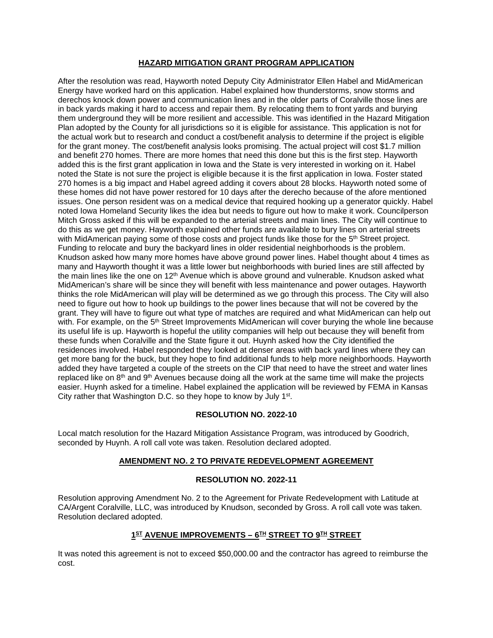## **HAZARD MITIGATION GRANT PROGRAM APPLICATION**

After the resolution was read, Hayworth noted Deputy City Administrator Ellen Habel and MidAmerican Energy have worked hard on this application. Habel explained how thunderstorms, snow storms and derechos knock down power and communication lines and in the older parts of Coralville those lines are in back yards making it hard to access and repair them. By relocating them to front yards and burying them underground they will be more resilient and accessible. This was identified in the Hazard Mitigation Plan adopted by the County for all jurisdictions so it is eligible for assistance. This application is not for the actual work but to research and conduct a cost/benefit analysis to determine if the project is eligible for the grant money. The cost/benefit analysis looks promising. The actual project will cost \$1.7 million and benefit 270 homes. There are more homes that need this done but this is the first step. Hayworth added this is the first grant application in Iowa and the State is very interested in working on it. Habel noted the State is not sure the project is eligible because it is the first application in Iowa. Foster stated 270 homes is a big impact and Habel agreed adding it covers about 28 blocks. Hayworth noted some of these homes did not have power restored for 10 days after the derecho because of the afore mentioned issues. One person resident was on a medical device that required hooking up a generator quickly. Habel noted Iowa Homeland Security likes the idea but needs to figure out how to make it work. Councilperson Mitch Gross asked if this will be expanded to the arterial streets and main lines. The City will continue to do this as we get money. Hayworth explained other funds are available to bury lines on arterial streets with MidAmerican paying some of those costs and project funds like those for the 5<sup>th</sup> Street project. Funding to relocate and bury the backyard lines in older residential neighborhoods is the problem. Knudson asked how many more homes have above ground power lines. Habel thought about 4 times as many and Hayworth thought it was a little lower but neighborhoods with buried lines are still affected by the main lines like the one on 12<sup>th</sup> Avenue which is above ground and vulnerable. Knudson asked what MidAmerican's share will be since they will benefit with less maintenance and power outages. Hayworth thinks the role MidAmerican will play will be determined as we go through this process. The City will also need to figure out how to hook up buildings to the power lines because that will not be covered by the grant. They will have to figure out what type of matches are required and what MidAmerican can help out with. For example, on the 5<sup>th</sup> Street Improvements MidAmerican will cover burying the whole line because its useful life is up. Hayworth is hopeful the utility companies will help out because they will benefit from these funds when Coralville and the State figure it out. Huynh asked how the City identified the residences involved. Habel responded they looked at denser areas with back yard lines where they can get more bang for the buck, but they hope to find additional funds to help more neighborhoods. Hayworth added they have targeted a couple of the streets on the CIP that need to have the street and water lines replaced like on  $8<sup>th</sup>$  and  $9<sup>th</sup>$  Avenues because doing all the work at the same time will make the projects easier. Huynh asked for a timeline. Habel explained the application will be reviewed by FEMA in Kansas City rather that Washington D.C. so they hope to know by July 1st.

## **RESOLUTION NO. 2022-10**

Local match resolution for the Hazard Mitigation Assistance Program, was introduced by Goodrich, seconded by Huynh. A roll call vote was taken. Resolution declared adopted.

## **AMENDMENT NO. 2 TO PRIVATE REDEVELOPMENT AGREEMENT**

## **RESOLUTION NO. 2022-11**

Resolution approving Amendment No. 2 to the Agreement for Private Redevelopment with Latitude at CA/Argent Coralville, LLC, was introduced by Knudson, seconded by Gross. A roll call vote was taken. Resolution declared adopted.

## **1ST AVENUE IMPROVEMENTS – 6TH STREET TO 9TH STREET**

It was noted this agreement is not to exceed \$50,000.00 and the contractor has agreed to reimburse the cost.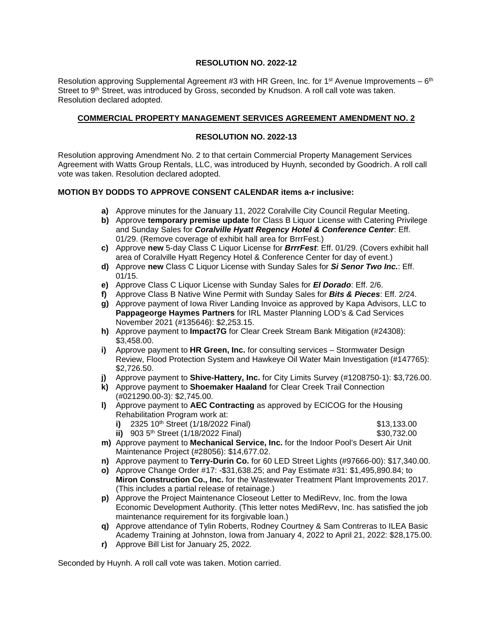#### **RESOLUTION NO. 2022-12**

Resolution approving Supplemental Agreement #3 with HR Green, Inc. for 1<sup>st</sup> Avenue Improvements –  $6<sup>th</sup>$ Street to 9<sup>th</sup> Street, was introduced by Gross, seconded by Knudson. A roll call vote was taken. Resolution declared adopted.

#### **COMMERCIAL PROPERTY MANAGEMENT SERVICES AGREEMENT AMENDMENT NO. 2**

#### **RESOLUTION NO. 2022-13**

Resolution approving Amendment No. 2 to that certain Commercial Property Management Services Agreement with Watts Group Rentals, LLC, was introduced by Huynh, seconded by Goodrich. A roll call vote was taken. Resolution declared adopted.

#### **MOTION BY DODDS TO APPROVE CONSENT CALENDAR items a-r inclusive:**

- **a)** Approve minutes for the January 11, 2022 Coralville City Council Regular Meeting.
- **b)** Approve **temporary premise update** for Class B Liquor License with Catering Privilege and Sunday Sales for *Coralville Hyatt Regency Hotel & Conference Center*: Eff. 01/29. (Remove coverage of exhibit hall area for BrrrFest.)
- **c)** Approve **new** 5-day Class C Liquor License for *BrrrFest*: Eff. 01/29. (Covers exhibit hall area of Coralville Hyatt Regency Hotel & Conference Center for day of event.)
- **d)** Approve **new** Class C Liquor License with Sunday Sales for *Si Senor Two Inc.*: Eff. 01/15.
- **e)** Approve Class C Liquor License with Sunday Sales for *El Dorado*: Eff. 2/6.
- **f)** Approve Class B Native Wine Permit with Sunday Sales for *Bits & Pieces*: Eff. 2/24.
- **g)** Approve payment of Iowa River Landing Invoice as approved by Kapa Advisors, LLC to **Pappageorge Haymes Partners** for IRL Master Planning LOD's & Cad Services November 2021 (#135646): \$2,253.15.
- **h)** Approve payment to **Impact7G** for Clear Creek Stream Bank Mitigation (#24308): \$3,458.00.
- **i)** Approve payment to **HR Green, Inc.** for consulting services Stormwater Design Review, Flood Protection System and Hawkeye Oil Water Main Investigation (#147765): \$2,726.50.
- **j)** Approve payment to **Shive-Hattery, Inc.** for City Limits Survey (#1208750-1): \$3,726.00.
- **k)** Approve payment to **Shoemaker Haaland** for Clear Creek Trail Connection (#021290.00-3): \$2,745.00.
- **l)** Approve payment to **AEC Contracting** as approved by ECICOG for the Housing Rehabilitation Program work at:
	- **i)** 2325 10<sup>th</sup> Street (1/18/2022 Final) \$13,133.00
	- **ii)** 903 5<sup>th</sup> Street (1/18/2022 Final) \$30,732.00
- 
- **m)** Approve payment to **Mechanical Service, Inc.** for the Indoor Pool's Desert Air Unit Maintenance Project (#28056): \$14,677.02.
- **n)** Approve payment to **Terry-Durin Co.** for 60 LED Street Lights (#97666-00): \$17,340.00.
- **o)** Approve Change Order #17: -\$31,638.25; and Pay Estimate #31: \$1,495,890.84; to **Miron Construction Co., Inc.** for the Wastewater Treatment Plant Improvements 2017. (This includes a partial release of retainage.)
- **p)** Approve the Project Maintenance Closeout Letter to MediRevv, Inc. from the Iowa Economic Development Authority. (This letter notes MediRevv, Inc. has satisfied the job maintenance requirement for its forgivable loan.)
- **q)** Approve attendance of Tylin Roberts, Rodney Courtney & Sam Contreras to ILEA Basic Academy Training at Johnston, Iowa from January 4, 2022 to April 21, 2022: \$28,175.00.
- **r)** Approve Bill List for January 25, 2022.

Seconded by Huynh. A roll call vote was taken. Motion carried.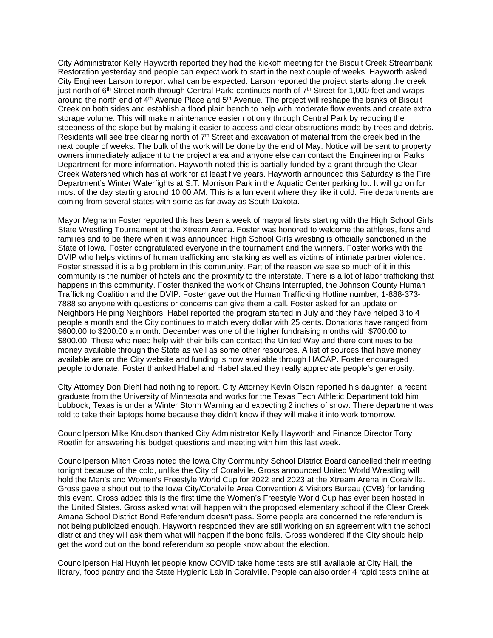City Administrator Kelly Hayworth reported they had the kickoff meeting for the Biscuit Creek Streambank Restoration yesterday and people can expect work to start in the next couple of weeks. Hayworth asked City Engineer Larson to report what can be expected. Larson reported the project starts along the creek just north of 6<sup>th</sup> Street north through Central Park; continues north of 7<sup>th</sup> Street for 1,000 feet and wraps around the north end of 4<sup>th</sup> Avenue Place and 5<sup>th</sup> Avenue. The project will reshape the banks of Biscuit Creek on both sides and establish a flood plain bench to help with moderate flow events and create extra storage volume. This will make maintenance easier not only through Central Park by reducing the steepness of the slope but by making it easier to access and clear obstructions made by trees and debris. Residents will see tree clearing north of  $7<sup>th</sup>$  Street and excavation of material from the creek bed in the next couple of weeks. The bulk of the work will be done by the end of May. Notice will be sent to property owners immediately adjacent to the project area and anyone else can contact the Engineering or Parks Department for more information. Hayworth noted this is partially funded by a grant through the Clear Creek Watershed which has at work for at least five years. Hayworth announced this Saturday is the Fire Department's Winter Waterfights at S.T. Morrison Park in the Aquatic Center parking lot. It will go on for most of the day starting around 10:00 AM. This is a fun event where they like it cold. Fire departments are coming from several states with some as far away as South Dakota.

Mayor Meghann Foster reported this has been a week of mayoral firsts starting with the High School Girls State Wrestling Tournament at the Xtream Arena. Foster was honored to welcome the athletes, fans and families and to be there when it was announced High School Girls wresting is officially sanctioned in the State of Iowa. Foster congratulated everyone in the tournament and the winners. Foster works with the DVIP who helps victims of human trafficking and stalking as well as victims of intimate partner violence. Foster stressed it is a big problem in this community. Part of the reason we see so much of it in this community is the number of hotels and the proximity to the interstate. There is a lot of labor trafficking that happens in this community. Foster thanked the work of Chains Interrupted, the Johnson County Human Trafficking Coalition and the DVIP. Foster gave out the Human Trafficking Hotline number, 1-888-373- 7888 so anyone with questions or concerns can give them a call. Foster asked for an update on Neighbors Helping Neighbors. Habel reported the program started in July and they have helped 3 to 4 people a month and the City continues to match every dollar with 25 cents. Donations have ranged from \$600.00 to \$200.00 a month. December was one of the higher fundraising months with \$700.00 to \$800.00. Those who need help with their bills can contact the United Way and there continues to be money available through the State as well as some other resources. A list of sources that have money available are on the City website and funding is now available through HACAP. Foster encouraged people to donate. Foster thanked Habel and Habel stated they really appreciate people's generosity.

City Attorney Don Diehl had nothing to report. City Attorney Kevin Olson reported his daughter, a recent graduate from the University of Minnesota and works for the Texas Tech Athletic Department told him Lubbock, Texas is under a Winter Storm Warning and expecting 2 inches of snow. There department was told to take their laptops home because they didn't know if they will make it into work tomorrow.

Councilperson Mike Knudson thanked City Administrator Kelly Hayworth and Finance Director Tony Roetlin for answering his budget questions and meeting with him this last week.

Councilperson Mitch Gross noted the Iowa City Community School District Board cancelled their meeting tonight because of the cold, unlike the City of Coralville. Gross announced United World Wrestling will hold the Men's and Women's Freestyle World Cup for 2022 and 2023 at the Xtream Arena in Coralville. Gross gave a shout out to the Iowa City/Coralville Area Convention & Visitors Bureau (CVB) for landing this event. Gross added this is the first time the Women's Freestyle World Cup has ever been hosted in the United States. Gross asked what will happen with the proposed elementary school if the Clear Creek Amana School District Bond Referendum doesn't pass. Some people are concerned the referendum is not being publicized enough. Hayworth responded they are still working on an agreement with the school district and they will ask them what will happen if the bond fails. Gross wondered if the City should help get the word out on the bond referendum so people know about the election.

Councilperson Hai Huynh let people know COVID take home tests are still available at City Hall, the library, food pantry and the State Hygienic Lab in Coralville. People can also order 4 rapid tests online at